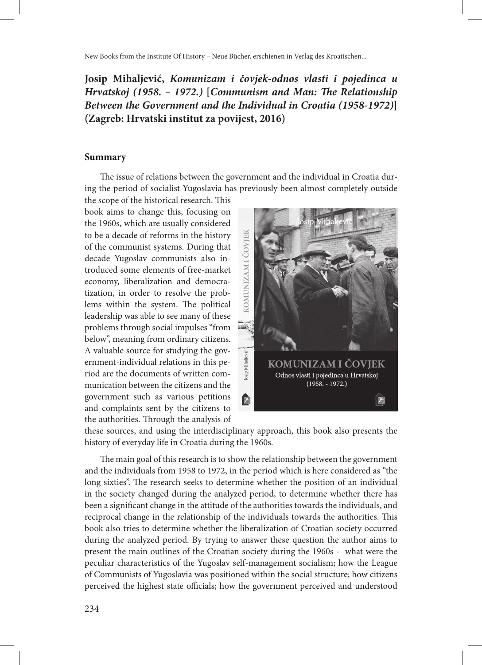New Books from the Institute Of History – Neue Bücher, erschienen in Verlag des Kroatischen...

## **Josip Mihaljević,** *Komunizam i čovjek-odnos vlasti i pojedinca u Hrvatskoj (1958. – 1972.)* **[***Communism and Man: The Relationship Between the Government and the Individual in Croatia (1958-1972)***] (Zagreb: Hrvatski institut za povijest, 2016)**

## **Summary**

The issue of relations between the government and the individual in Croatia during the period of socialist Yugoslavia has previously been almost completely outside

the scope of the historical research. This book aims to change this, focusing on the 1960s, which are usually considered to be a decade of reforms in the history of the communist systems. During that decade Yugoslav communists also introduced some elements of free-market economy, liberalization and democratization, in order to resolve the problems within the system. The political leadership was able to see many of these problems through social impulses "from below", meaning from ordinary citizens. A valuable source for studying the government-individual relations in this period are the documents of written communication between the citizens and the government such as various petitions and complaints sent by the citizens to the authorities. Through the analysis of



these sources, and using the interdisciplinary approach, this book also presents the history of everyday life in Croatia during the 1960s.

The main goal of this research is to show the relationship between the government and the individuals from 1958 to 1972, in the period which is here considered as "the long sixties". The research seeks to determine whether the position of an individual in the society changed during the analyzed period, to determine whether there has been a significant change in the attitude of the authorities towards the individuals, and reciprocal change in the relationship of the individuals towards the authorities. This book also tries to determine whether the liberalization of Croatian society occurred during the analyzed period. By trying to answer these question the author aims to present the main outlines of the Croatian society during the 1960s - what were the peculiar characteristics of the Yugoslav self-management socialism; how the League of Communists of Yugoslavia was positioned within the social structure; how citizens perceived the highest state officials; how the government perceived and understood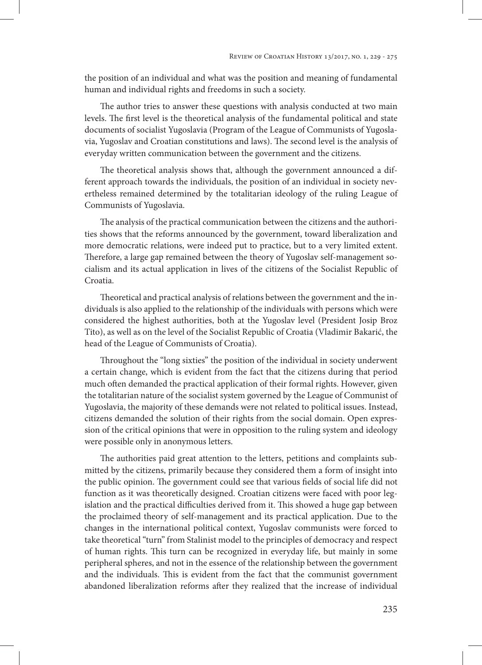the position of an individual and what was the position and meaning of fundamental human and individual rights and freedoms in such a society.

The author tries to answer these questions with analysis conducted at two main levels. The first level is the theoretical analysis of the fundamental political and state documents of socialist Yugoslavia (Program of the League of Communists of Yugoslavia, Yugoslav and Croatian constitutions and laws). The second level is the analysis of everyday written communication between the government and the citizens.

The theoretical analysis shows that, although the government announced a different approach towards the individuals, the position of an individual in society nevertheless remained determined by the totalitarian ideology of the ruling League of Communists of Yugoslavia.

The analysis of the practical communication between the citizens and the authorities shows that the reforms announced by the government, toward liberalization and more democratic relations, were indeed put to practice, but to a very limited extent. Therefore, a large gap remained between the theory of Yugoslav self-management socialism and its actual application in lives of the citizens of the Socialist Republic of Croatia.

Theoretical and practical analysis of relations between the government and the individuals is also applied to the relationship of the individuals with persons which were considered the highest authorities, both at the Yugoslav level (President Josip Broz Tito), as well as on the level of the Socialist Republic of Croatia (Vladimir Bakarić, the head of the League of Communists of Croatia).

Throughout the "long sixties" the position of the individual in society underwent a certain change, which is evident from the fact that the citizens during that period much often demanded the practical application of their formal rights. However, given the totalitarian nature of the socialist system governed by the League of Communist of Yugoslavia, the majority of these demands were not related to political issues. Instead, citizens demanded the solution of their rights from the social domain. Open expression of the critical opinions that were in opposition to the ruling system and ideology were possible only in anonymous letters.

The authorities paid great attention to the letters, petitions and complaints submitted by the citizens, primarily because they considered them a form of insight into the public opinion. The government could see that various fields of social life did not function as it was theoretically designed. Croatian citizens were faced with poor legislation and the practical difficulties derived from it. This showed a huge gap between the proclaimed theory of self-management and its practical application. Due to the changes in the international political context, Yugoslav communists were forced to take theoretical "turn" from Stalinist model to the principles of democracy and respect of human rights. This turn can be recognized in everyday life, but mainly in some peripheral spheres, and not in the essence of the relationship between the government and the individuals. This is evident from the fact that the communist government abandoned liberalization reforms after they realized that the increase of individual